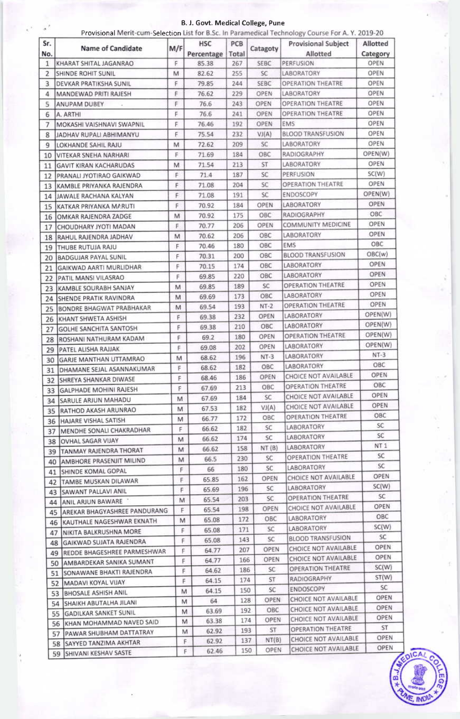B. J. Govt. Medical College, Pune

|            | Provisional Merit-cum-Selection List for B.Sc. In Paramedical Technology Course For A.Y. 2019-20 |     |                          |              |             |                                        |                      |
|------------|--------------------------------------------------------------------------------------------------|-----|--------------------------|--------------|-------------|----------------------------------------|----------------------|
| Sr.<br>No. | Name of Candidate                                                                                | M/F | <b>HSC</b><br>Percentage | PCB<br>Total | Catagoty    | <b>Provisional Subject</b><br>Allotted | Allotted<br>Category |
| 1          | KHARAT SHITAL JAGANRAO                                                                           | F   | 85.38                    | 267          | SEBC        | PERFUSION                              | OPEN                 |
| 2          | SHINDE ROHIT SUNIL                                                                               | M   | 82.62                    | 255          | SC.         | LABORATORY                             | OPEN                 |
| 3          | DEVKAR PRATIKSHA SUNIL                                                                           | F   | 79.85                    | 244          | SEBC        | <b>OPERATION THEATRE</b>               | OPEN                 |
| 4          | MANDEWAD PRITI RAJESH                                                                            | F   | 76.62                    | 229          | OPEN        | LABORATORY                             | OPEN                 |
| 5          | ANUPAM DUBEY                                                                                     | F   | 76.6                     | 243          | OPEN        | <b>OPERATION THEATRE</b>               | OPEN                 |
| 6          | A. ARTHI                                                                                         | F   | 76.6                     | 241          | OPEN        | <b>OPERATION THEATRE</b>               | OPEN                 |
| 7          | MOKASHI VAISHNAVI SWAPNIL                                                                        | F   | 76.46                    | 192          | OPEN        | EMS                                    | OPEN                 |
| 8          | JADHAV RUPALI ABHIMANYU                                                                          | F   | 75.54                    | 232          | VI(A)       | <b>BLOOD TRANSFUSION</b>               | OPEN                 |
| 9          | LOKHANDE SAHIL RAJU                                                                              | M   | 72.62                    | 209          | SC          | <b>LABORATORY</b>                      | OPEN                 |
| 10         | VITEKAR SNEHA NARHARI                                                                            | F   | 71.69                    | 184          | OBC         | <b>RADIOGRAPHY</b>                     | OPEN(W)              |
| 11         | <b>GAVIT KIRAN KACHARUDAS</b>                                                                    | M   | 71.54                    | 213          | ST          | LABORATORY                             | OPEN                 |
| 12         | PRANALI JYOTIRAO GAIKWAD                                                                         | F   | 71.4                     | 187          | SC          | PERFUSION                              | SC(W)                |
| 13         | KAMBLE PRIYANKA RAJENDRA                                                                         | F   | 71.08                    | 204          | SC          | OPERATION THEATRE                      | OPEN                 |
| 14         | JAWALE RACHANA KALYAN                                                                            | F   | 71.08                    | 191          | SC          | ENDOSCOPY                              | OPEN(W)              |
| 15         | KATKAR PRIYANKA MARUTI                                                                           | F   | 70.92                    | 184          | <b>OPEN</b> | LABORATORY                             | OPEN                 |
| 16         | OMKAR RAJENDRA ZADGE                                                                             | M   | 70.92                    | 175          | OBC         | RADIOGRAPHY                            | OBC                  |
| 17         | CHOUDHARY JYOTI MADAN                                                                            | F   | 70.77                    | 206          | OPEN        | COMMUNITY MEDICINE                     | OPEN                 |
| 18         | RAHUL RAJENDRA JADHAV                                                                            | M   | 70.62                    | 206          | OBC         | LABORATORY                             | OPEN                 |
| 19         | THUBE RUTUJA RAJU                                                                                | F   | 70.46                    | 180          | OBC         | EMS                                    | OBC                  |
|            | <b>BADGUJAR PAYAL SUNIL</b>                                                                      | F   | 70.31                    | 200          | ОВС         | <b>BLOOD TRANSFUSION</b>               | OBC(w)               |
| 20         | GAIKWAD AARTI MURLIDHAR                                                                          | F   | 70.15                    | 174          | OBC         | LABORATORY                             | OPEN                 |
| 21         |                                                                                                  | F   | 69.85                    | 220          | OBC         | LABORATORY                             | OPEN                 |
| 22         | PATIL MANSI VILASRAO                                                                             | M   | 69.85                    | 189          | SC          | OPERATION THEATRE                      | OPEN                 |
| 23         | KAMBLE SOURABH SANJAY                                                                            |     | 69.69                    | 173          | OBC         | LABORATORY                             | OPEN                 |
| 24         | SHENDE PRATIK RAVINDRA                                                                           | M   | 69.54                    | 193          | $NT-2$      | <b>OPERATION THEATRE</b>               | <b>OPEN</b>          |
| 25         | BONDRE BHAGWAT PRABHAKAR                                                                         | M   |                          | 232          | OPEN        | <b>LABORATORY</b>                      | OPEN(W)              |
| 26         | KHANT SHWETA ASHISH                                                                              | F   | 69.38                    |              | OBC         | LABORATORY                             | OPEN(W)              |
| 27         | <b>GOLHE SANCHITA SANTOSH</b>                                                                    | F   | 69.38                    | 210          | OPEN        | <b>OPERATION THEATRE</b>               | OPEN(W)              |
| 28         | ROSHANI NATHURAM KADAM                                                                           | F   | 69.2                     | 180          |             | LABORATORY                             | OPEN(W)              |
| 29         | PATEL ALISHA RAJJAK                                                                              | F.  | 69.08                    | 202          | OPEN        | LABORATORY                             | $NT-3$               |
|            | 30 GARJE MANTHAN UTTAMRAO                                                                        | М   | 68.62                    | 196          | $NT-3$      |                                        | OBC                  |
| 31         | DHAMANE SEJAL ASANNAKUMAR                                                                        | F   | 68.62                    | 182          | OBC         | LABORATORY<br>CHOICE NOT AVAILABLE     | OPEN                 |
| 32         | SHREYA SHANKAR DIWASE                                                                            | F   | 68.46                    | 186          | OPEN        | OPERATION THEATRE                      | OBC                  |
| 33         | <b>GALPHADE MOHINI RAJESH</b>                                                                    | F   | 67.69                    | 213          | OBC         |                                        | <b>OPEN</b>          |
| 34         | <b>SARULE ARJUN MAHADU</b>                                                                       | M   | 67.69                    | 184          | SC          | CHOICE NOT AVAILABLE                   | OPEN                 |
| 35         | RATHOD AKASH ARUNRAO                                                                             | м   | 67.53                    | 182          | VI(A)       | CHOICE NOT AVAILABLE                   | OBC                  |
| 36         | HAJARE VISHAL SATISH                                                                             | M   | 66.77                    | 172          | OBC         | OPERATION THEATRE                      | SC                   |
| 37         | MENDHE SONALI CHAKRADHAR                                                                         | F   | 66.62                    | 182          | SC.         | LABORATORY                             | SC                   |
| 38         | OVHAL SAGAR VIJAY                                                                                | M   | 66.62                    | 174          | SC          | LABORATORY                             |                      |
| 39         | <b>TANMAY RAJENDRA THORAT</b>                                                                    | M   | 66.62                    | 158          | NT(B)       | LABORATORY                             | NT 1                 |
| 40         | <b>JAMBHORE PRASENJIT MILIND</b>                                                                 | м   | 66.5                     | 230          | SC          | OPERATION THEATRE                      | SC                   |
| 41         | SHINDE KOMAL GOPAL                                                                               | F   | 66.                      | 180          | SC.         | LABORATORY                             | SC                   |
| 42         | <b>TAMBE MUSKAN DILAWAR</b>                                                                      | F   | 65.85                    | 162          | OPEN        | CHOICE NOT AVAILABLE                   | OPEN                 |
| 43         | SAWANT PALLAVI ANIL                                                                              | F   | 65.69                    | 196          | SC          | LABORATORY                             | SC(W)                |
| 44         | ANIL ARJUN BAWARE                                                                                | M   | 65.54                    | 203          | SC          | OPERATION THEATRE                      | SC.                  |
| 45         | AREKAR BHAGYASHREE PANDURANG                                                                     | F   | 65.54                    | 198          | OPEN        | CHOICE NOT AVAILABLE                   | OPEN                 |
| 46         | KAUTHALE NAGESHWAR EKNATH                                                                        | M   | 65.08                    | 172          | OBC         | LABORATORY                             | OBC                  |
| 47         | NIKITA BALKRUSHNA MORE                                                                           | F.  | 65.08                    | 171          | SC          | LABORATORY                             | SC(W)                |
| 48         | <b>GAIKWAD SUJATA RAJENDRA</b>                                                                   | F.  | 65.08                    | 143          | SC          | <b>BLOOD TRANSFUSION</b>               | SC                   |
| 49.        | REDDE BHAGESHREE PARMESHWAR                                                                      | F.  | 64.77                    | 207          | OPEN        | CHOICE NOT AVAILABLE                   | <b>OPEN</b>          |
| 50         | AMBARDEKAR SANIKA SUMANT                                                                         | F.  | 64.77                    | 166          | OPEN        | CHOICE NOT AVAILABLE                   | OPEN                 |
| 51         | SONAWANE BHAKTI RAJENDRA                                                                         | F   | 64.62                    | 186          | SC          | OPERATION THEATRE                      | SC(W)                |
| 52         | MADAVI KOYAL VIJAY                                                                               | F   | 64.15                    | 174          | ST          | RADIOGRAPHY                            | ST(W)                |
| 53         | <b>BHOSALE ASHISH ANIL</b>                                                                       | M   | 64.15                    | 150          | SC          | ENDOSCOPY                              | SC                   |
|            | SHAIKH ABUTALHA JILANI                                                                           |     | 64.<br>м                 | 128          | OPEN        | CHOICE NOT AVAILABLE                   | OPEN                 |
| 54         | <b>GADILKAR SANKET SUNIL</b>                                                                     |     | 63.69<br>М               | 192          | OBC         | CHOICE NOT AVAILABLE                   | OPEN                 |
| 55         | KHAN MOHAMMAD NAVED SAID                                                                         |     | 63.38<br>M               | 174          | OPEN        | CHOICE NOT AVAILABLE                   | OPEN                 |
| 56         | PAWAR SHUBHAM DATTATRAY                                                                          |     | 62.92<br>M               | 193          | ST.         | OPERATION THEATRE                      | ST                   |
| 57         |                                                                                                  |     | 62.92<br>F               | 137          | NT(B)       | CHOICE NOT AVAILABLE                   | OPEN                 |
|            | SAYYED TANZIMA AKHTAR<br>58                                                                      |     | 62.46<br>F               | 150          | <b>OPEN</b> | CHOICE NOT AVAILABLE                   | OPEN                 |
|            | 59 SHIVANI KESHAV SASTE                                                                          |     |                          |              |             |                                        |                      |

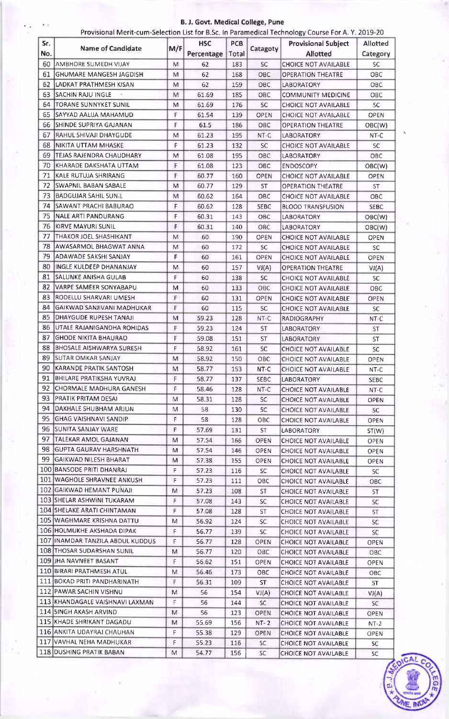## **B. J. Govt. Medical College, Pune**

|     |                                                         | Provisional Merit-cum-Selection List for B.Sc. In Paramedical Technology Course For A.Y. 2019-20 |                |            |             |                                              |             |
|-----|---------------------------------------------------------|--------------------------------------------------------------------------------------------------|----------------|------------|-------------|----------------------------------------------|-------------|
| Sr. | <b>Name of Candidate</b>                                | M/F                                                                                              | <b>HSC</b>     | PCB        | Catagoty    | <b>Provisional Subject</b>                   | Allotted    |
| No. |                                                         |                                                                                                  | Percentage     | Total      |             | <b>Allotted</b>                              | Category    |
| 60  | AMBHORE SUMEDH VIJAY                                    | M                                                                                                | 62             | 183        | <b>SC</b>   | <b>CHOICE NOT AVAILABLE</b>                  | <b>SC</b>   |
| 61  | GHUMARE MANGESH JAGDISH                                 | M                                                                                                | 62             | 168        | OBC         | <b>OPERATION THEATRE</b>                     | OBC.        |
| 62  | LADKAT PRATHMESH KISAN                                  | м                                                                                                | 62             | 159        | OBC         | LABORATORY                                   | OBC.        |
| 63  | <b>SACHIN RAJU INGLE</b>                                | M                                                                                                | 61.69          | 185        | OBC         | <b>COMMUNITY MEDICINE</b>                    | OBC         |
| 64  | TORANE SUNNYKET SUNIL                                   | м                                                                                                | 61.69          | 176        | SC.         | <b>CHOICE NOT AVAILABLE</b>                  | SC.         |
| 65  | SAYYAD AALIJA MAHAMUD                                   | F                                                                                                | 61.54          | 139        | OPEN        | <b>CHOICE NOT AVAILABLE</b>                  | OPEN        |
| 66  | SHINDE SUPRIYA GAJANAN                                  | F                                                                                                | 61.5           | 186        | OBC         | <b>OPERATION THEATRE</b>                     | OBC(W)      |
| 67  | RAHUL SHIVAJI DHAYGUDE                                  | м                                                                                                | 61.23          | 195        | NT-C        | LABORATORY                                   | $NT-C$      |
| 68  | NIKITA UTTAM MHASKE                                     | F                                                                                                | 61.23          | 132        | SC.         | <b>CHOICE NOT AVAILABLE</b>                  | <b>SC</b>   |
| 69  | TEJAS RAJENDRA CHAUDHARY                                | M                                                                                                | 61.08          | 195        | OBC         | <b>LABORATORY</b>                            | OBC.        |
| 70  | KHARADE DAKSHATA UTTAM                                  | F                                                                                                | 61.08          | 123        | OBC         | ENDOSCOPY                                    | OBC(W)      |
| 71  | KALE RUTUJA SHRIRANG                                    | F                                                                                                | 60.77          | 160        | OPEN        | <b>CHOICE NOT AVAILABLE</b>                  | OPEN        |
| 72  | <b>SWAPNIL BABAN SABALE</b>                             | м                                                                                                | 60.77          | 129        | ST.         | <b>OPERATION THEATRE</b>                     | ST          |
| 73  | <b>BADGUJAR SAHIL SUNIL</b>                             | м                                                                                                | 60.62          | 164        | OBC         | <b>CHOICE NOT AVAILABLE</b>                  | OBC         |
| 74  | SAWANT PRACHI BABURAO                                   | F                                                                                                | 60.62          | 128        | <b>SEBC</b> | <b>BLOOD TRANSFUSION</b>                     | <b>SEBC</b> |
| 75  | NALE ARTI PANDURANG                                     | F                                                                                                | 60.31          | 143        | OBC         | <b>LABORATORY</b>                            | OBC(W)      |
| 76  | KIRVE MAYURI SUNIL                                      | F                                                                                                | 60.31          | 140        | OBC         | LABORATORY                                   | OBC(W)      |
| 77  | THAKOR JOEL SHASHIKANT                                  | M                                                                                                | 60             | 190        | OPEN        | <b>CHOICE NOT AVAILABLE</b>                  | <b>OPEN</b> |
| 78  | AWASARMOL BHAGWAT ANNA                                  | м                                                                                                | 60             | 172        | <b>SC</b>   | <b>CHOICE NOT AVAILABLE</b>                  | SC.         |
| 79  | ADAWADE SAKSHI SANJAY                                   | F.                                                                                               | 60             | 161        | OPEN        | <b>CHOICE NOT AVAILABLE</b>                  | <b>OPEN</b> |
| 80  | INGLE KULDEEP DHANANJAY                                 | M                                                                                                | 60             | 157        | VI(A)       | <b>OPERATION THEATRE</b>                     | VI(A)       |
| 81  | SALUNKE ANISHA GULAB                                    | F                                                                                                | 60             | 138        | SC          | CHOICE NOT AVAILABLE                         | SC.         |
| 82  | VARPE SAMEER SONYABAPU                                  | М                                                                                                | 60             | 133        | OBC         | <b>CHOICE NOT AVAILABLE</b>                  | OBC         |
| 83  | RODELLU SHARVARI UMESH                                  | F                                                                                                | 60             | 131        | OPEN        | CHOICE NOT AVAILABLE                         | OPEN        |
| 84  | GAIKWAD SANJIVANI MADHUKAR                              | F                                                                                                | 60             | 115        | SC.         | <b>CHOICE NOT AVAILABLE</b>                  | SC.         |
| 85  | DHAYGUDE RUPESH TANAJI                                  | M                                                                                                | 59,23          | 128        | NT-C        | <b>RADIOGRAPHY</b>                           | $NT-C$      |
| 86  | UTALE RAJANIGANDHA ROHIDAS                              | F                                                                                                | 59.23          | 124        | <b>ST</b>   | LABORATORY                                   | ST          |
| 87  | <b>GHODE NIKITA BHAURAO</b>                             | F                                                                                                | 59.08          | 151        | <b>ST</b>   | <b>LABORATORY</b>                            | ST          |
| 88  | <b>BHOSALE AISHWARYA SURESH</b>                         | F                                                                                                | 58.92          | 161        | SC          | <b>CHOICE NOT AVAILABLE</b>                  | <b>SC</b>   |
| 89  | <b>SUTAR OMKAR SANJAY</b>                               | M                                                                                                | 58.92          | 150        | OBC         | CHOICE NOT AVAILABLE                         | <b>OPEN</b> |
|     | 90 KARANDE PRATIK SANTOSH                               | M                                                                                                | 58.77          | 153        | NT-C        | <b>CHOICE NOT AVAILABLE</b>                  | NT-C        |
| 91  | BHILARE PRATIKSHA YUVRAJ                                | F                                                                                                | 58.77          | 137        | <b>SEBC</b> | <b>LABORATORY</b>                            | <b>SEBC</b> |
| 92  | CHORMALE MADHURA GANESH                                 | F.                                                                                               | 58.46          | 128        | NT-C        | <b>CHOICE NOT AVAILABLE</b>                  | NT-C        |
| 93  | PRATIK PRITAM DESAI                                     | М                                                                                                | 58.31          | 128        | <b>SC</b>   | <b>CHOICE NOT AVAILABLE</b>                  | OPEN        |
| 94  | IDAKHALE SHUBHAM ARJUN                                  | Μ                                                                                                | 58             | 130        | SC.         | CHOICE NOT AVAILABLE                         | SC.         |
| 95. | IGHAG VAISHNAVI SANDIP                                  | F.                                                                                               | 58             | 128        | OBC.        | <b>CHOICE NOT AVAILABLE</b>                  |             |
| 96. | ISUNITA SANJAY WARE                                     | F.                                                                                               | 57.69          | 131        | ST.         | LABORATORY                                   | OPEN        |
| 97  | TALEKAR AMOL GAJANAN                                    | M                                                                                                | 57.54          | 166        | <b>OPEN</b> | CHOICE NOT AVAILABLE                         | ST(W)       |
| 98  | <b>GUPTA GAURAV HARSHNATH</b>                           | м                                                                                                | 57.54          | 146        | OPEN        | <b>CHOICE NOT AVAILABLE</b>                  | <b>OPEN</b> |
| 99  | GAIKWAD NILESH BHARAT                                   | м                                                                                                | 57.38          | 155        | OPEN        | <b>CHOICE NOT AVAILABLE</b>                  | <b>OPEN</b> |
|     | 100 BANSODE PRITI DHANRAJ                               | F.                                                                                               | 57.23          | 116        | SC.         | CHOICE NOT AVAILABLE                         | OPEN        |
|     | 101 WAGHOLE SHRAVNEE ANKUSH                             | F                                                                                                | 57.23          | 111        | OBC         | CHOICE NOT AVAILABLE                         | SC.         |
|     | 102 GAIKWAD HEMANT PUNAJI                               | M                                                                                                | 57.23          |            |             |                                              | ОВС         |
|     | 103 SHELAR ASHWINI TUKARAM                              | F                                                                                                | 57.08          | 108<br>143 | ST.<br>SC   | <b>CHOICE NOT AVAILABLE</b>                  | ST          |
|     | 104 SHELAKE ARATI CHINTAMAN                             | F                                                                                                | 57.08          | 128        | ST          | CHOICE NOT AVAILABLE<br>CHOICE NOT AVAILABLE | SC.         |
|     | 105 WAGHMARE KRISHNA DATTU                              | M                                                                                                | 56.92          |            |             |                                              | ST.         |
|     | 106 HOLMUKHE AKSHADA DIPAK                              | F                                                                                                |                | 124        | SC.         | <b>CHOICE NOT AVAILABLE</b>                  | SC.         |
|     | 107 INAMDAR TANZILA ABDUL KUDDUS                        | F                                                                                                | 56.77<br>56.77 | 139        | <b>SC</b>   | CHOICE NOT AVAILABLE                         | SC.         |
|     | 108 THOSAR SUDARSHAN SUNIL                              | М                                                                                                |                | 128        | OPEN        | <b>CHOICE NOT AVAILABLE</b>                  | OPEN        |
|     | 109 JHA NAVNEET BASANT                                  | F                                                                                                | 56.77          | 120        | ОВС         | <b>CHOICE NOT AVAILABLE</b>                  | OBC         |
|     | 110 BIRARI PRATHMESH ATUL                               |                                                                                                  | 56.62          | 151        | <b>OPEN</b> | <b>CHOICE NOT AVAILABLE</b>                  | OPEN        |
|     | 111 BOKAD PRITI PANDHARINATH                            | М                                                                                                | 56.46          | 173        | OBC.        | CHOICE NOT AVAILABLE                         | OBC.        |
|     | 112 PAWAR SACHIN VISHNU                                 | F                                                                                                | 56.31          | 109        | ST.         | CHOICE NOT AVAILABLE                         | ST          |
|     | 113 KHANDAGALE VAISHNAVI LAXMAN                         | M                                                                                                | 56             | 154        | VI(A)       | <b>CHOICE NOT AVAILABLE</b>                  | VI(A)       |
|     | 114 SINGH AKASH ARVIND                                  | F                                                                                                | 56             | 144        | <b>SC</b>   | <b>CHOICE NOT AVAILABLE</b>                  | SC.         |
|     |                                                         | M                                                                                                | 56             | 123        | <b>OPEN</b> | CHOICE NOT AVAILABLE                         | OPEN.       |
|     | 115 KHADE SHRIKANT DAGADU<br>116 ANKITA UDAYRAJ CHAUHAN | M                                                                                                | 55.69          | 156        | $NT - 2$    | <b>CHOICE NOT AVAILABLE</b>                  | $NT-2$      |
|     |                                                         | F                                                                                                | 55.38          | 129        | <b>OPEN</b> | <b>CHOICE NOT AVAILABLE</b>                  | OPEN        |
|     | 117 VAVHAL NEHA MADHUKAR                                | F                                                                                                | 55.23          | 116        | SC          | <b>CHOICE NOT AVAILABLE</b>                  | SC.         |
|     | 118 DUSHING PRATIK BABAN                                | M                                                                                                | 54.77          | 156        | <b>SC</b>   | CHOICE NOT AVAILABLE                         | <b>SC</b>   |